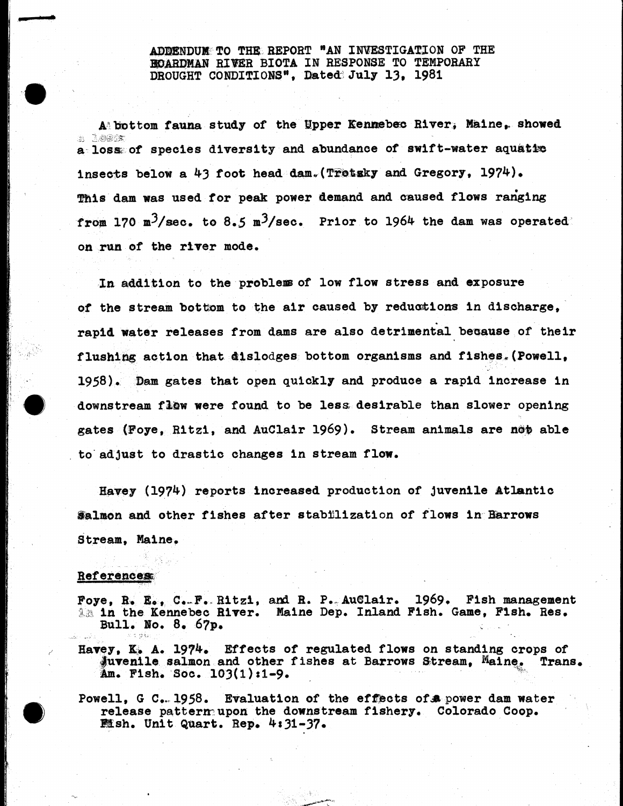## ADDENDUM TO THE REPORT "AN INVESTIGATION OP THE BOARDMAN RIVER BIOTA IN RESPONSE TO TEMPORARY DROUGHT CONDITIONS", Dated July 13, 1981

 $A$  bottom fauna study of the Upper Kennebec River, Maine, showed *.2, 2£)^X* a loss of species diversity and abundance of swift-water aquatie insects below a  $43$  foot head dam. (Trotsky and Gregory, 1974). fhls dam was used for peak power demand and caused flows ranging from 170 m<sup>3</sup>/sec. to 8.5 m<sup>3</sup>/sec. Prior to 1964 the dam was operated on run of the river mode.

In addition to the problem of low flow stress and exposure of the stream bottom to the air caused by reductions in discharge, rapid water releases from dams are also detrimental because of their flushing action that dislodges bottom organisms and fishes,(Powell, 1958). ©am gates that open quickly and produce a rapid increase in downstream flow were found to be less desirable than slower opening gates (Foye, Ritzi, and AuClair 1969). Stream animals are not able to adjust to drastie changes in stream flow.

Havey (1974) reports increased production of juvenile Atlantic  $$almon and other fishes after stabilization of flows in Barrows$ Stream, Haine.

## **References**

Foye, R. E., C.-F. Ritzi, and R. P. AuClair. 1969. Fish management *XM* in the Kennebec River. Maine Dep. Inland Fish. Game, Fish. Res. Bull. Ho. 8. 67p.

Havey, K. A. 1974. Effects of regulated flows on standing crops of Juvenile salmon and other fishes at Barrows Stream, Maine, Trans.  $Am.$  Fish. Soc.  $103(1):1-9.$ 

Powell, G C. 1958. Evaluation of the effects of a power dam water release pattern; upon the downstream fishery. Colorado Coop.  $M$ sh. Unit Quart. Rep.  $4:31-37$ .